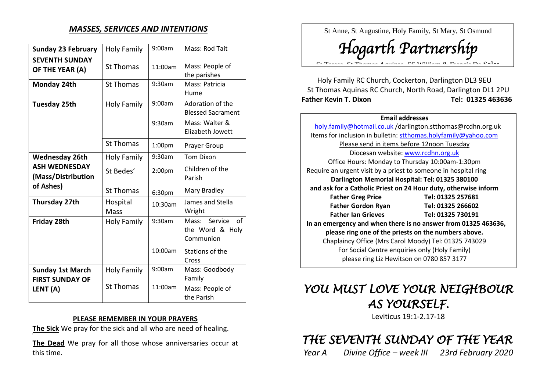## *MASSES, SERVICES AND INTENTIONS*

| <b>Sunday 23 February</b>                         | <b>Holy Family</b> | 9:00am             | Mass: Rod Tait                                              |
|---------------------------------------------------|--------------------|--------------------|-------------------------------------------------------------|
| <b>SEVENTH SUNDAY</b><br>OF THE YEAR (A)          | <b>St Thomas</b>   | 11:00am            | Mass: People of<br>the parishes                             |
| Monday 24th                                       | <b>St Thomas</b>   | 9:30am             | Mass: Patricia<br>Hume                                      |
| <b>Tuesday 25th</b>                               | <b>Holy Family</b> | 9:00am             | Adoration of the<br><b>Blessed Sacrament</b>                |
|                                                   |                    | 9:30am             | Mass: Walter &<br><b>Elizabeth Jowett</b>                   |
|                                                   | <b>St Thomas</b>   | 1:00 <sub>pm</sub> | Prayer Group                                                |
| <b>Wednesday 26th</b>                             | <b>Holy Family</b> | 9:30am             | <b>Tom Dixon</b>                                            |
| <b>ASH WEDNESDAY</b><br>(Mass/Distribution        | St Bedes'          | 2:00 <sub>pm</sub> | Children of the<br>Parish                                   |
| of Ashes)                                         | <b>St Thomas</b>   | 6:30pm             | Mary Bradley                                                |
| Thursday 27th                                     | Hospital<br>Mass   | 10:30am            | James and Stella<br>Wright                                  |
| Friday 28th                                       | Holy Family        | 9:30am             | Mass: Service<br>$\alpha$ f<br>the Word & Holy<br>Communion |
|                                                   |                    | 10:00am            | Stations of the<br>Cross                                    |
| <b>Sunday 1st March</b><br><b>FIRST SUNDAY OF</b> | Holy Family        | 9:00am             | Mass: Goodbody<br>Family                                    |
| LENT (A)                                          | <b>St Thomas</b>   | 11:00am            | Mass: People of<br>the Parish                               |

### **PLEASE REMEMBER IN YOUR PRAYERS**

**The Sick** We pray for the sick and all who are need of healing.

**The Dead** We pray for all those whose anniversaries occur at this time.

St Anne, St Augustine, Holy Family, St Mary, St Osmund

*Hogarth Partnership* St Teresa, St Thomas Aquinas, SS William & Francis De Sales

Holy Family RC Church, Cockerton, Darlington DL3 9EU St Thomas Aquinas RC Church, North Road, Darlington DL1 2PU **Father Kevin T. Dixon Tel: 01325 463636**

#### **Email addresses**

[holy.family@hotmail.co.uk](mailto:holy.family@hotmail.co.uk) /darlington.stthomas@rcdhn.org.uk Items for inclusion in bulletin: [stthomas.holyfamily@yahoo.com](mailto:stthomas.holyfamily@yahoo.com) Please send in items before 12noon Tuesday Diocesan website: [www.rcdhn.org.uk](http://www.rcdhn.org.uk/) Office Hours: Monday to Thursday 10:00am-1:30pm Require an urgent visit by a priest to someone in hospital ring **Darlington Memorial Hospital: Tel: 01325 380100 and ask for a Catholic Priest on 24 Hour duty, otherwise inform Father Greg Price Tel: 01325 257681 Father Gordon Ryan Tel: 01325 266602 Father Ian Grieves Tel: 01325 730191 In an emergency and when there is no answer from 01325 463636, please ring one of the priests on the numbers above.** Chaplaincy Office (Mrs Carol Moody) Tel: 01325 743029 For Social Centre enquiries only (Holy Family) please ring Liz Hewitson on 0780 857 3177

# *YOU MUST LOVE YOUR NEIGHBOUR AS YOURSELF.*

Leviticus 19:1-2.17-18

## *THE SEVENTH SUNDAY OF THE YEAR*

*Year A Divine Office – week III 23rd February 2020*